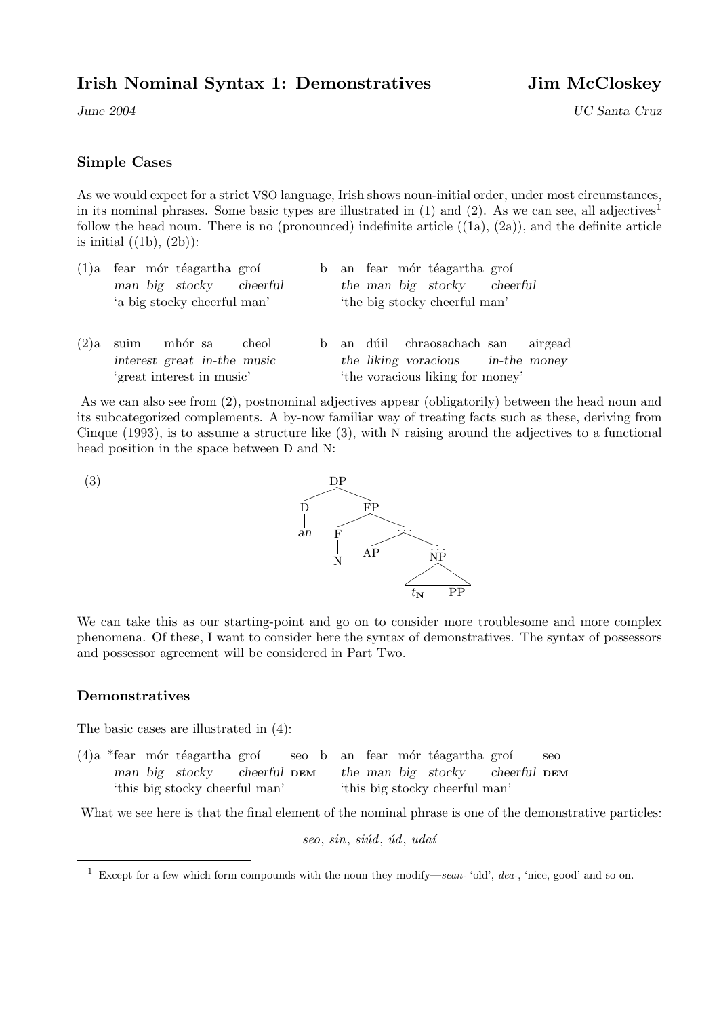June 2004 UC Santa Cruz

## Simple Cases

As we would expect for a strict VSO language, Irish shows noun-initial order, under most circumstances, in its nominal phrases. Some basic types are illustrated in  $(1)$  and  $(2)$ . As we can see, all adjectives<sup>1</sup> follow the head noun. There is no (pronounced) indefinite article  $((1a), (2a))$ , and the definite article is initial  $((1b), (2b))$ :

|                             |  | $(1)$ a fear mór téagartha groí |  |  |                               |  |  | b an fear mór téagartha groí |  |  |
|-----------------------------|--|---------------------------------|--|--|-------------------------------|--|--|------------------------------|--|--|
|                             |  | man big stocky cheerful         |  |  |                               |  |  | the man big stocky cheerful  |  |  |
| 'a big stocky cheerful man' |  |                                 |  |  | 'the big stocky cheerful man' |  |  |                              |  |  |
|                             |  |                                 |  |  |                               |  |  |                              |  |  |
|                             |  |                                 |  |  |                               |  |  |                              |  |  |

 $(2)a$  suim mhór sa cheol interest great in-the music 'great interest in music' b an dúil chraosachach san airgead the liking voracious in-the money 'the voracious liking for money'

As we can also see from (2), postnominal adjectives appear (obligatorily) between the head noun and its subcategorized complements. A by-now familiar way of treating facts such as these, deriving from Cinque (1993), is to assume a structure like  $(3)$ , with N raising around the adjectives to a functional head position in the space between D and N:



We can take this as our starting-point and go on to consider more troublesome and more complex phenomena. Of these, I want to consider here the syntax of demonstratives. The syntax of possessors and possessor agreement will be considered in Part Two.

## Demonstratives

The basic cases are illustrated in (4):

 $(4)a *fear$  mór téagartha groí man big stocky cheerful DEM 'this big stocky cheerful man' seo b an fear mór téagartha groí seo the man big stocky cheerful DEM 'this big stocky cheerful man'

What we see here is that the final element of the nominal phrase is one of the demonstrative particles:

 $seo, sin, siúd, úd, uda'i$ 

<sup>&</sup>lt;sup>1</sup> Except for a few which form compounds with the noun they modify—sean- 'old', dea-, 'nice, good' and so on.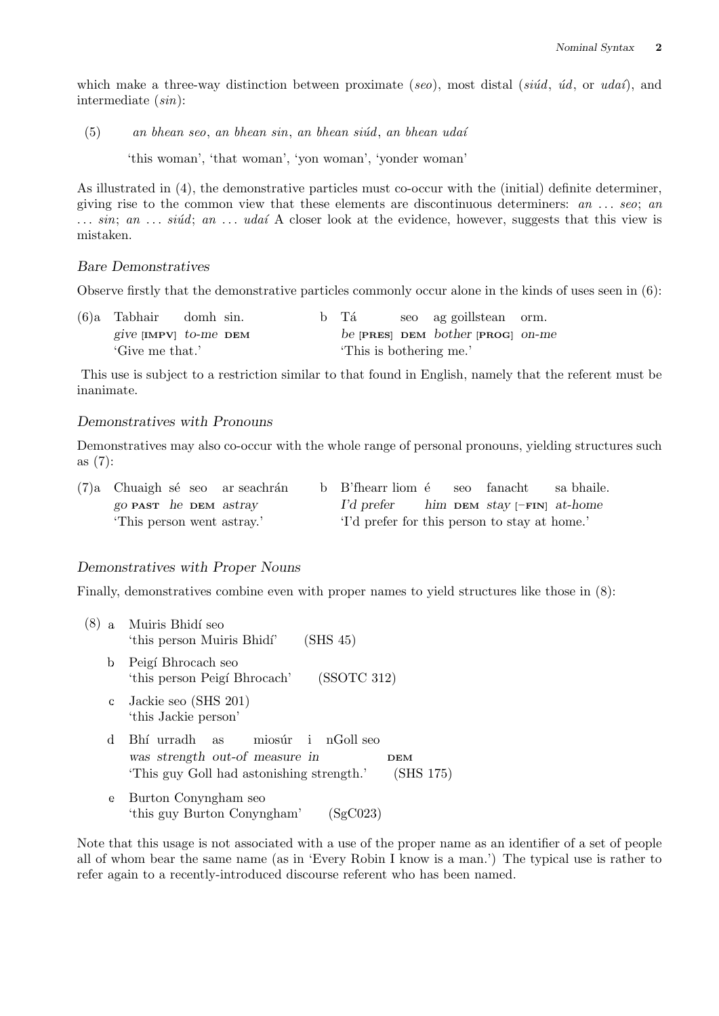which make a three-way distinction between proximate (see), most distal (siúd, úd, or udaí), and intermediate (sin):

 $(5)$  an bhean seo, an bhean sin, an bhean siúd, an bhean udaí

'this woman', 'that woman', 'yon woman', 'yonder woman'

As illustrated in (4), the demonstrative particles must co-occur with the (initial) definite determiner, giving rise to the common view that these elements are discontinuous determiners:  $an \dots seo$ ; an  $\ldots$  sin; an  $\ldots$  singled; an  $\ldots$  udat A closer look at the evidence, however, suggests that this view is mistaken.

#### Bare Demonstratives

Observe firstly that the demonstrative particles commonly occur alone in the kinds of uses seen in (6):

| $(6)a$ Tabhair domh sin. |  |                         | b Tá |  | seo ag goillstean orm.                      |  |  |  |
|--------------------------|--|-------------------------|------|--|---------------------------------------------|--|--|--|
| give $[IMPV]$ to-me DEM  |  |                         |      |  | be <b>PRES</b> DEM bother <b>PROG</b> on-me |  |  |  |
| 'Give me that.'          |  | 'This is bothering me.' |      |  |                                             |  |  |  |

This use is subject to a restriction similar to that found in English, namely that the referent must be inanimate.

## Demonstratives with Pronouns

Demonstratives may also co-occur with the whole range of personal pronouns, yielding structures such as (7):

|                              |  | $(7)$ a Chuaigh sé seo ar seachrán | b B'fhearr liom é seo fanacht                     |  | sa bhaile. |
|------------------------------|--|------------------------------------|---------------------------------------------------|--|------------|
| go <b>PAST</b> he DEM astray |  |                                    | $I'd$ prefer him DEM stay $[-\text{FIN}]$ at-home |  |            |
| This person went astray.'    |  |                                    | 'I'd prefer for this person to stay at home.'     |  |            |

#### Demonstratives with Proper Nouns

Finally, demonstratives combine even with proper names to yield structures like those in  $(8)$ :

| (8) |              | a Muiris Bhidí seo<br>(SHS 45)<br>'this person Muiris Bhidí'                                                                           |
|-----|--------------|----------------------------------------------------------------------------------------------------------------------------------------|
|     | b            | Peigí Bhrocach seo<br>(SSOTC 312)<br>'this person Peigí Bhrocach'                                                                      |
|     | C            | Jackie seo (SHS 201)<br>'this Jackie person'                                                                                           |
|     | <sub>d</sub> | miosúr i nGoll seo<br>Bhí urradh as<br>was strength out-of measure in<br>DEM<br>(SHS 175)<br>'This guy Goll had astonishing strength.' |
|     | e            | Burton Conyngham seo<br>'this guy Burton Conyngham'<br>SgC023                                                                          |

Note that this usage is not associated with a use of the proper name as an identifier of a set of people all of whom bear the same name (as in 'Every Robin I know is a man.') The typical use is rather to refer again to a recently-introduced discourse referent who has been named.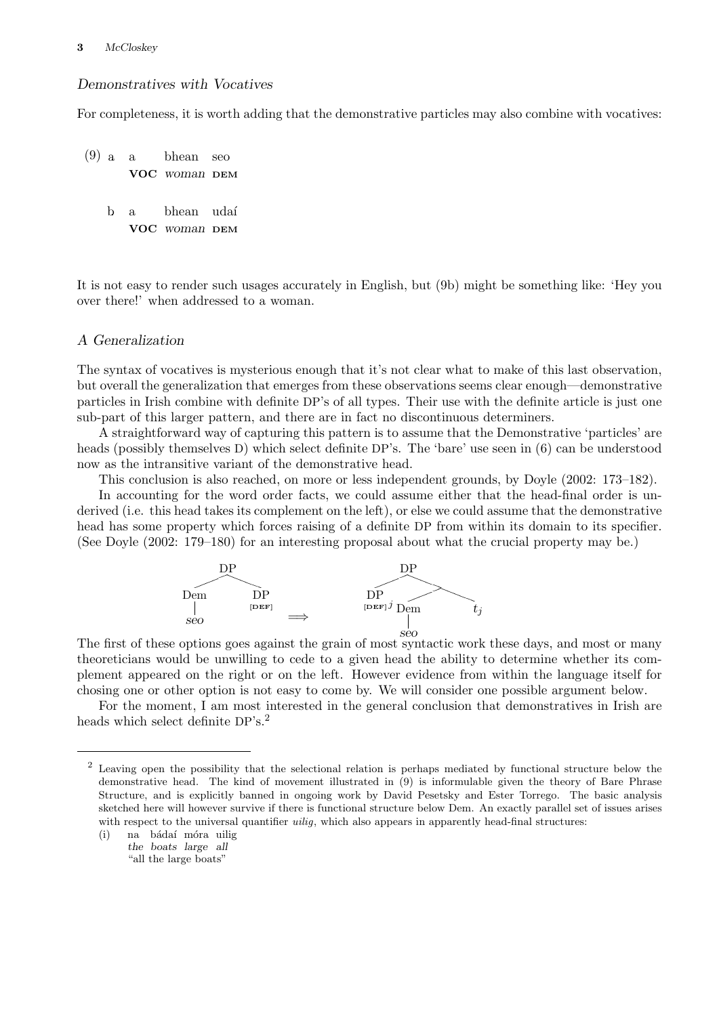## Demonstratives with Vocatives

For completeness, it is worth adding that the demonstrative particles may also combine with vocatives:

(9) a. a bhean seo VOC woman DEM b a bhean udaí VOC woman DEM

It is not easy to render such usages accurately in English, but (9b) might be something like: 'Hey you over there!' when addressed to a woman.

## A Generalization

The syntax of vocatives is mysterious enough that it's not clear what to make of this last observation, but overall the generalization that emerges from these observations seems clear enough—demonstrative particles in Irish combine with definite DP's of all types. Their use with the definite article is just one sub-part of this larger pattern, and there are in fact no discontinuous determiners.

A straightforward way of capturing this pattern is to assume that the Demonstrative 'particles' are heads (possibly themselves D) which select definite DP's. The 'bare' use seen in (6) can be understood now as the intransitive variant of the demonstrative head.

This conclusion is also reached, on more or less independent grounds, by Doyle (2002: 173–182).

In accounting for the word order facts, we could assume either that the head-final order is underived (i.e. this head takes its complement on the left), or else we could assume that the demonstrative head has some property which forces raising of a definite DP from within its domain to its specifier. (See Doyle (2002: 179–180) for an interesting proposal about what the crucial property may be.)



The first of these options goes against the grain of most syntactic work these days, and most or many theoreticians would be unwilling to cede to a given head the ability to determine whether its complement appeared on the right or on the left. However evidence from within the language itself for chosing one or other option is not easy to come by. We will consider one possible argument below.

For the moment, I am most interested in the general conclusion that demonstratives in Irish are heads which select definite DP's.<sup>2</sup>

<sup>&</sup>lt;sup>2</sup> Leaving open the possibility that the selectional relation is perhaps mediated by functional structure below the demonstrative head. The kind of movement illustrated in (9) is informulable given the theory of Bare Phrase Structure, and is explicitly banned in ongoing work by David Pesetsky and Ester Torrego. The basic analysis sketched here will however survive if there is functional structure below Dem. An exactly parallel set of issues arises with respect to the universal quantifier *uilig*, which also appears in apparently head-final structures:

<sup>(</sup>i) na bádaí móra uilig the boats large all "all the large boats"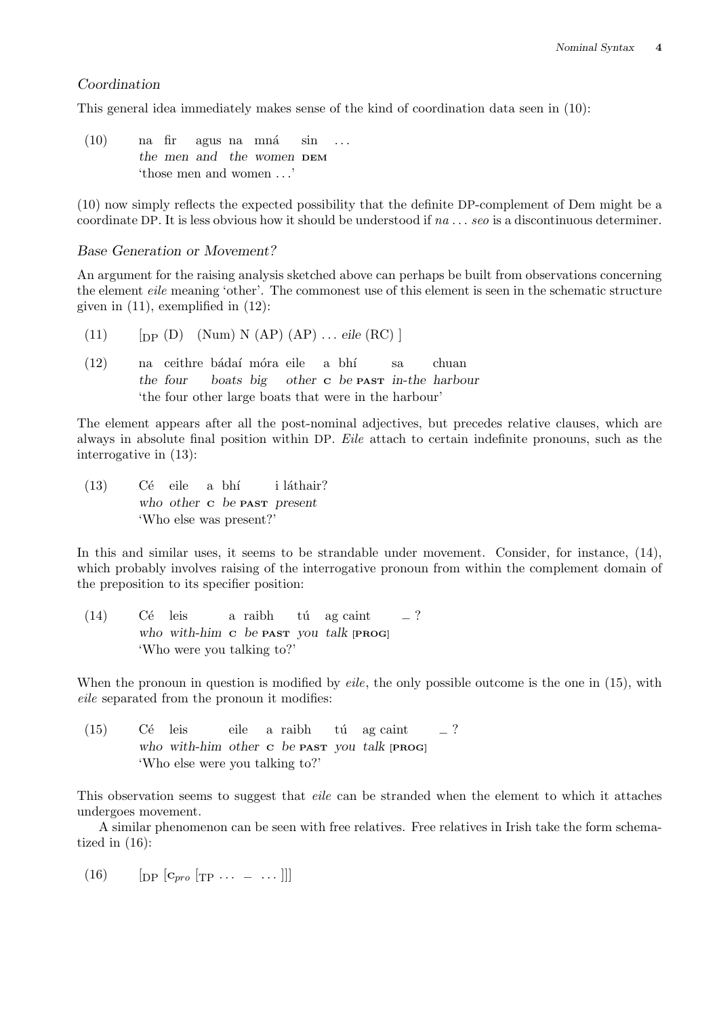### Coordination

This general idea immediately makes sense of the kind of coordination data seen in (10):

 $(10)$  na fir agus na mná sin ... the men and the women DEM 'those men and women . . .'

(10) now simply reflects the expected possibility that the definite DP-complement of Dem might be a coordinate DP. It is less obvious how it should be understood if  $na \dots$  see is a discontinuous determiner.

## Base Generation or Movement?

An argument for the raising analysis sketched above can perhaps be built from observations concerning the element eile meaning 'other'. The commonest use of this element is seen in the schematic structure given in  $(11)$ , exemplified in  $(12)$ :

- (11)  $\left[\text{DP } (D) \right]$  (Num) N (AP)  $\left(\text{AP}\right)$  ... eile (RC) ]
- (12) na ceithre bádaí móra eile a bhí sa chuan the four boats big other <sup>C</sup> be PAST in-the harbour 'the four other large boats that were in the harbour'

The element appears after all the post-nominal adjectives, but precedes relative clauses, which are always in absolute final position within DP. Eile attach to certain indefinite pronouns, such as the interrogative in (13):

 $(13)$  Cé eile a bhí i láthair? who other c be **PAST** present 'Who else was present?'

In this and similar uses, it seems to be strandable under movement. Consider, for instance,  $(14)$ , which probably involves raising of the interrogative pronoun from within the complement domain of the preposition to its specifier position:

(14) Cé leis a raibh tú ag caint  $\frac{1}{2}$ ? who with-him c be **PAST** you talk [PROG] 'Who were you talking to?'

When the pronoun in question is modified by *eile*, the only possible outcome is the one in  $(15)$ , with eile separated from the pronoun it modifies:

 $(15)$  Cé leis eile a raibh tú ag caint – ? who with-him other <sup>C</sup> be PAST you talk [PROG] 'Who else were you talking to?'

This observation seems to suggest that eile can be stranded when the element to which it attaches undergoes movement.

A similar phenomenon can be seen with free relatives. Free relatives in Irish take the form schematized in (16):

(16)  $\left[ \text{DP} \left[ C_{pro} \left[ \text{TP} \dots \right] - \dots \right] \right]$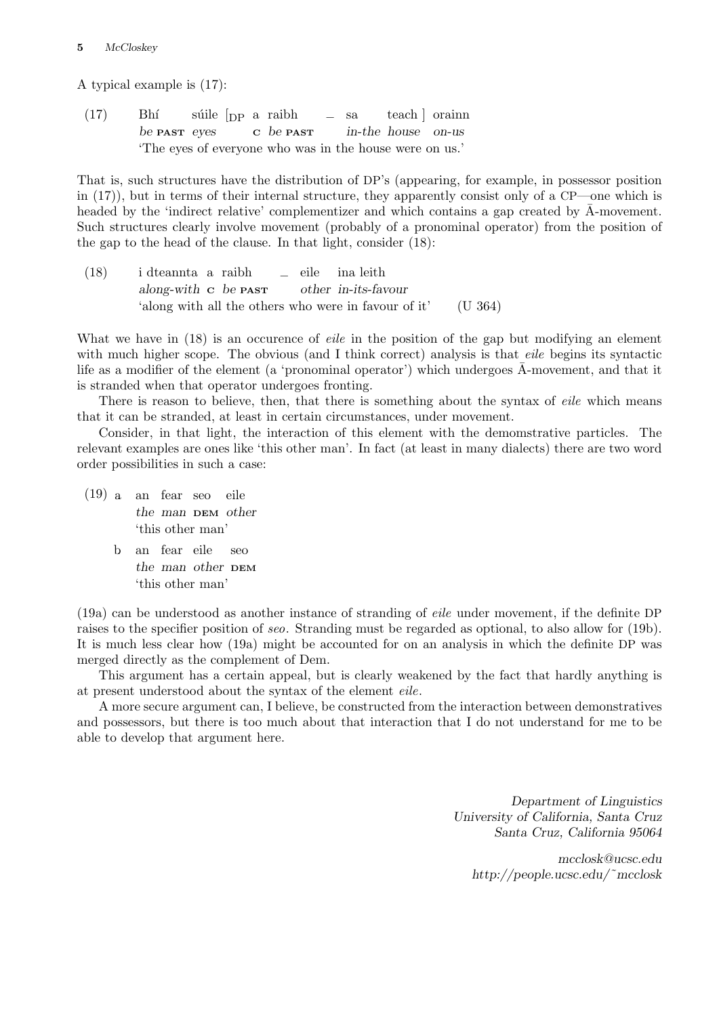A typical example is (17):

 $(17)$  Bhí súile  $[$ DP a raibh – sa teach a orainn be **PAST** eyes c be **PAST** in-the house on-us 'The eyes of everyone who was in the house were on us.'

That is, such structures have the distribution of DP's (appearing, for example, in possessor position in (17)), but in terms of their internal structure, they apparently consist only of a CP—one which is headed by the 'indirect relative' complementizer and which contains a gap created by A-movement. Such structures clearly involve movement (probably of a pronominal operator) from the position of the gap to the head of the clause. In that light, consider (18):

(18) i dteannta a raibh – eile ina leith along-with <sup>C</sup> be PAST other in-its-favour 'along with all the others who were in favour of it' (U 364)

What we have in (18) is an occurence of *eile* in the position of the gap but modifying an element with much higher scope. The obvious (and I think correct) analysis is that *eile* begins its syntactic life as a modifier of the element (a 'pronominal operator') which undergoes  $\overline{A}$ -movement, and that it is stranded when that operator undergoes fronting.

There is reason to believe, then, that there is something about the syntax of eile which means that it can be stranded, at least in certain circumstances, under movement.

Consider, in that light, the interaction of this element with the demomstrative particles. The relevant examples are ones like 'this other man'. In fact (at least in many dialects) there are two word order possibilities in such a case:

- (19) a. an fear seo eile the man DEM other 'this other man'
	- b. an fear eile seo the man other DEM 'this other man'

(19a) can be understood as another instance of stranding of eile under movement, if the definite DP raises to the specifier position of seo. Stranding must be regarded as optional, to also allow for (19b). It is much less clear how (19a) might be accounted for on an analysis in which the definite DP was merged directly as the complement of Dem.

This argument has a certain appeal, but is clearly weakened by the fact that hardly anything is at present understood about the syntax of the element eile.

A more secure argument can, I believe, be constructed from the interaction between demonstratives and possessors, but there is too much about that interaction that I do not understand for me to be able to develop that argument here.

> Department of Linguistics University of California, Santa Cruz Santa Cruz, California 95064

mcclosk@ucsc.edu http://people.ucsc.edu/˜mcclosk